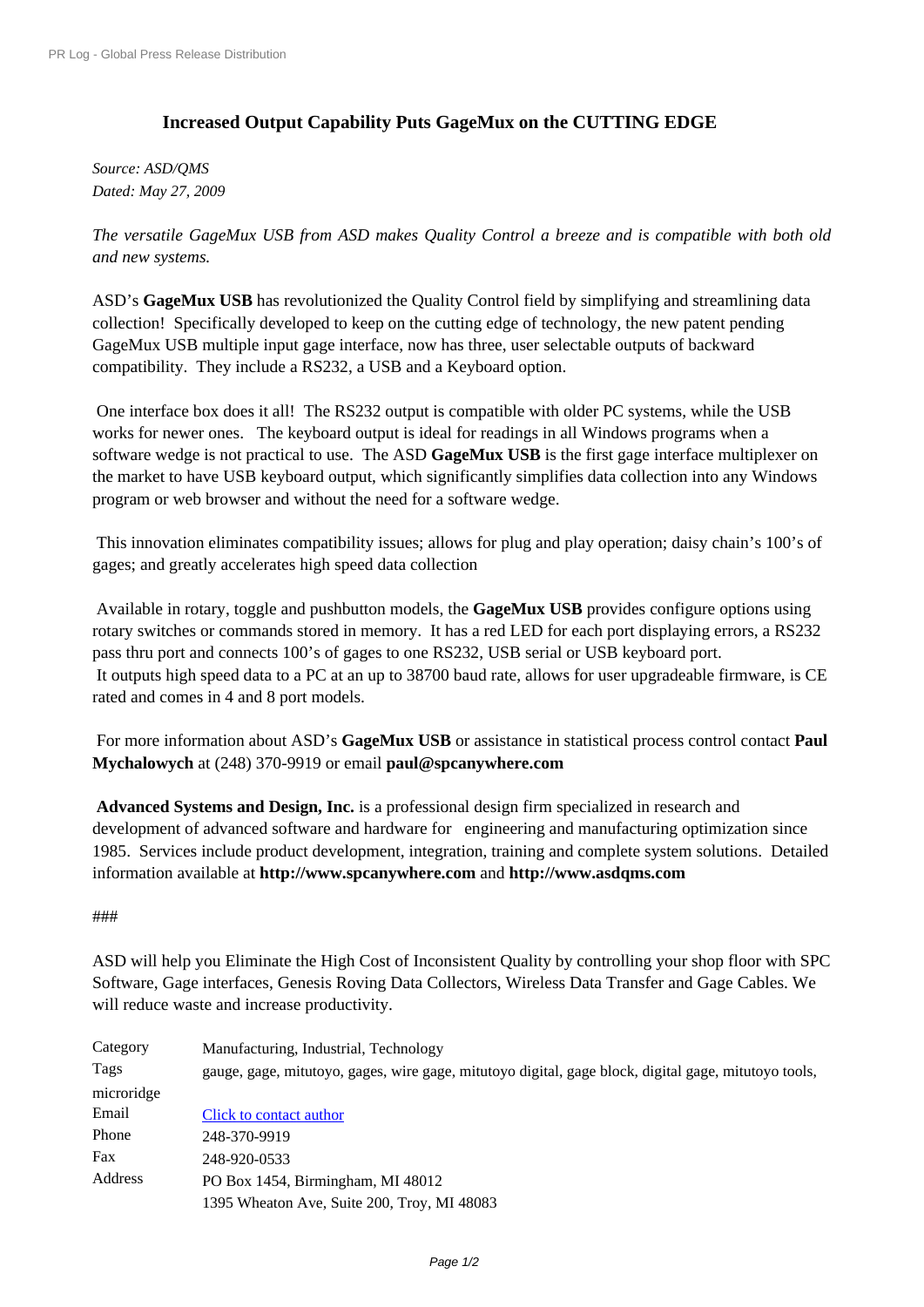## **[Increased Outpu](http://www.prlog.org/)t Capability Puts GageMux on the CUTTING EDGE**

*Source: ASD/QMS Dated: May 27, 2009*

*The versatile GageMux USB from ASD makes Quality Control a breeze and is compatible with both old and new systems.*

ASD's **GageMux USB** has revolutionized the Quality Control field by simplifying and streamlining data collection! Specifically developed to keep on the cutting edge of technology, the new patent pending GageMux USB multiple input gage interface, now has three, user selectable outputs of backward compatibility. They include a RS232, a USB and a Keyboard option.

 One interface box does it all! The RS232 output is compatible with older PC systems, while the USB works for newer ones. The keyboard output is ideal for readings in all Windows programs when a software wedge is not practical to use. The ASD **GageMux USB** is the first gage interface multiplexer on the market to have USB keyboard output, which significantly simplifies data collection into any Windows program or web browser and without the need for a software wedge.

 This innovation eliminates compatibility issues; allows for plug and play operation; daisy chain's 100's of gages; and greatly accelerates high speed data collection

 Available in rotary, toggle and pushbutton models, the **GageMux USB** provides configure options using rotary switches or commands stored in memory. It has a red LED for each port displaying errors, a RS232 pass thru port and connects 100's of gages to one RS232, USB serial or USB keyboard port. It outputs high speed data to a PC at an up to 38700 baud rate, allows for user upgradeable firmware, is CE rated and comes in 4 and 8 port models.

 For more information about ASD's **GageMux USB** or assistance in statistical process control contact **Paul Mychalowych** at (248) 370-9919 or email **paul@spcanywhere.com**

**Advanced Systems and Design, Inc.** is a professional design firm specialized in research and development of advanced software and hardware for engineering and manufacturing optimization since 1985. Services include product development, integration, training and complete system solutions. Detailed information available at **http://www.spcanywhere.com** and **http://www.asdqms.com**

## ###

ASD will help you Elim[inate the High Cost of Inconsiste](http://www.prlog.org/10245001.html)nt [Quality by controlling your](http://www.prlog.org/10245001.html) shop floor with SPC Software, Gage interfaces, Genesis Roving Data Collectors, Wireless Data Transfer and Gage Cables. We will reduce waste and increase productivity.

| Category   | Manufacturing, Industrial, Technology                                                                |
|------------|------------------------------------------------------------------------------------------------------|
| Tags       | gauge, gage, mitutoyo, gages, wire gage, mitutoyo digital, gage block, digital gage, mitutoyo tools, |
| microridge |                                                                                                      |
| Email      | Click to contact author                                                                              |
| Phone      | 248-370-9919                                                                                         |
| Fax        | 248-920-0533                                                                                         |
| Address    | PO Box 1454, Birmingham, MI 48012                                                                    |
|            | 1395 Wheaton Ave, Suite 200, Troy, MI 48083                                                          |